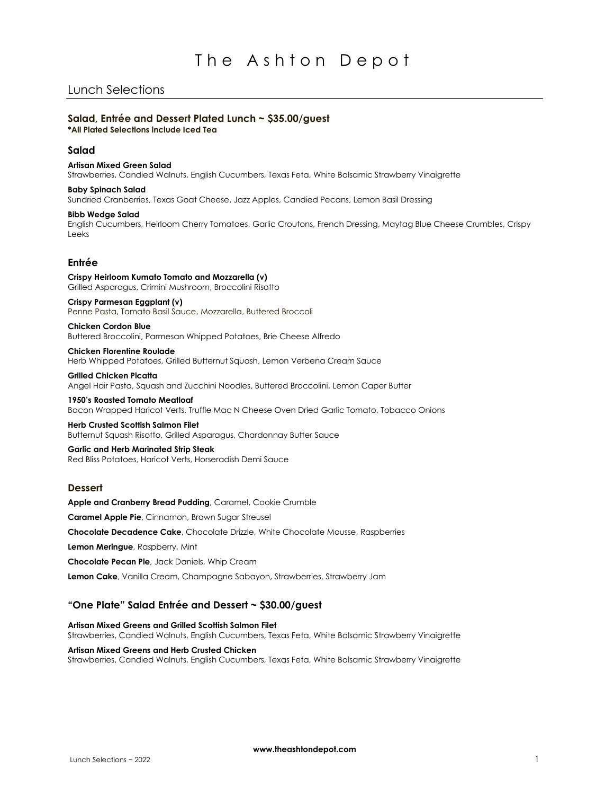## Lunch Selections

### **Salad, Entrée and Dessert Plated Lunch ~ \$35.00/guest \*All Plated Selections include Iced Tea**

### **Salad**

## **Artisan Mixed Green Salad**

Strawberries, Candied Walnuts, English Cucumbers, Texas Feta, White Balsamic Strawberry Vinaigrette

### **Baby Spinach Salad**

Sundried Cranberries, Texas Goat Cheese, Jazz Apples, Candied Pecans, Lemon Basil Dressing

### **Bibb Wedge Salad**

English Cucumbers, Heirloom Cherry Tomatoes, Garlic Croutons, French Dressing, Maytag Blue Cheese Crumbles, Crispy Leeks

### **Entrée**

**Crispy Heirloom Kumato Tomato and Mozzarella (v)** Grilled Asparagus, Crimini Mushroom, Broccolini Risotto

### **Crispy Parmesan Eggplant (v)**

Penne Pasta, Tomato Basil Sauce, Mozzarella, Buttered Broccoli

**Chicken Cordon Blue** Buttered Broccolini, Parmesan Whipped Potatoes, Brie Cheese Alfredo

**Chicken Florentine Roulade** Herb Whipped Potatoes, Grilled Butternut Squash, Lemon Verbena Cream Sauce

**Grilled Chicken Picatta** Angel Hair Pasta, Squash and Zucchini Noodles, Buttered Broccolini, Lemon Caper Butter

**1950's Roasted Tomato Meatloaf** Bacon Wrapped Haricot Verts, Truffle Mac N Cheese Oven Dried Garlic Tomato, Tobacco Onions

### **Herb Crusted Scottish Salmon Filet**

Butternut Squash Risotto, Grilled Asparagus, Chardonnay Butter Sauce

#### **Garlic and Herb Marinated Strip Steak** Red Bliss Potatoes, Haricot Verts, Horseradish Demi Sauce

### **Dessert**

**Apple and Cranberry Bread Pudding**, Caramel, Cookie Crumble **Caramel Apple Pie**, Cinnamon, Brown Sugar Streusel **Chocolate Decadence Cake**, Chocolate Drizzle, White Chocolate Mousse, Raspberries **Lemon Meringue**, Raspberry, Mint

**Chocolate Pecan Pie**, Jack Daniels, Whip Cream

**Lemon Cake**, Vanilla Cream, Champagne Sabayon, Strawberries, Strawberry Jam

## **"One Plate" Salad Entrée and Dessert ~ \$30.00/guest**

### **Artisan Mixed Greens and Grilled Scottish Salmon Filet**

Strawberries, Candied Walnuts, English Cucumbers, Texas Feta, White Balsamic Strawberry Vinaigrette

### **Artisan Mixed Greens and Herb Crusted Chicken**

Strawberries, Candied Walnuts, English Cucumbers, Texas Feta, White Balsamic Strawberry Vinaigrette